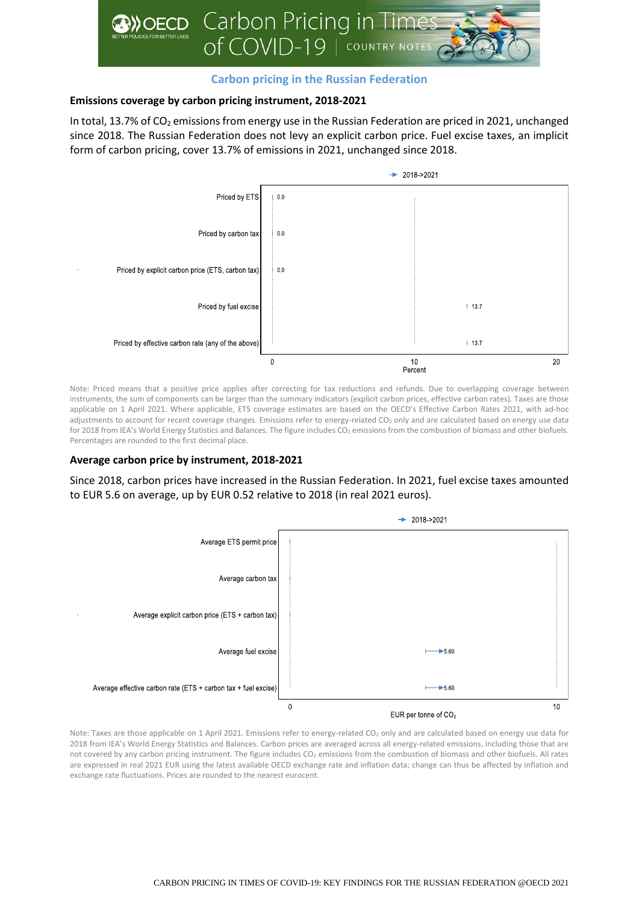

## **Carbon pricing in the Russian Federation**

## **Emissions coverage by carbon pricing instrument, 2018-2021**

In total, 13.7% of CO<sub>2</sub> emissions from energy use in the Russian Federation are priced in 2021, unchanged since 2018. The Russian Federation does not levy an explicit carbon price. Fuel excise taxes, an implicit form of carbon pricing, cover 13.7% of emissions in 2021, unchanged since 2018.



Note: Priced means that a positive price applies after correcting for tax reductions and refunds. Due to overlapping coverage between instruments, the sum of components can be larger than the summary indicators (explicit carbon prices, effective carbon rates). Taxes are those applicable on 1 April 2021. Where applicable, ETS coverage estimates are based on the OECD's Effective Carbon Rates 2021, with ad-hoc adjustments to account for recent coverage changes. Emissions refer to energy-related CO<sub>2</sub> only and are calculated based on energy use data for 2018 from IEA's World Energy Statistics and Balances. The figure includes CO<sub>2</sub> emissions from the combustion of biomass and other biofuels. Percentages are rounded to the first decimal place.

## **Average carbon price by instrument, 2018-2021**

Since 2018, carbon prices have increased in the Russian Federation. In 2021, fuel excise taxes amounted to EUR 5.6 on average, up by EUR 0.52 relative to 2018 (in real 2021 euros).



Note: Taxes are those applicable on 1 April 2021. Emissions refer to energy-related CO<sub>2</sub> only and are calculated based on energy use data for 2018 from IEA's World Energy Statistics and Balances. Carbon prices are averaged across all energy-related emissions, including those that are not covered by any carbon pricing instrument. The figure includes CO<sub>2</sub> emissions from the combustion of biomass and other biofuels. All rates are expressed in real 2021 EUR using the latest available OECD exchange rate and inflation data; change can thus be affected by inflation and exchange rate fluctuations. Prices are rounded to the nearest eurocent.